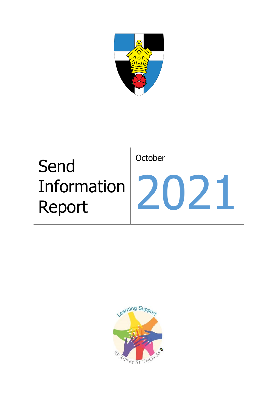

# Send Information Report **October** 2021

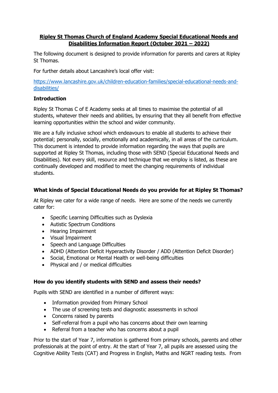# **Ripley St Thomas Church of England Academy Special Educational Needs and Disabilities Information Report (October 2021 – 2022)**

The following document is designed to provide information for parents and carers at Ripley St Thomas.

For further details about Lancashire's local offer visit:

[https://www.lancashire.gov.uk/children-education-families/special-educational-needs-and](https://www.lancashire.gov.uk/children-education-families/special-educational-needs-and-disabilities/)[disabilities/](https://www.lancashire.gov.uk/children-education-families/special-educational-needs-and-disabilities/)

# **Introduction**

Ripley St Thomas C of E Academy seeks at all times to maximise the potential of all students, whatever their needs and abilities, by ensuring that they all benefit from effective learning opportunities within the school and wider community.

We are a fully inclusive school which endeavours to enable all students to achieve their potential; personally, socially, emotionally and academically, in all areas of the curriculum. This document is intended to provide information regarding the ways that pupils are supported at Ripley St Thomas, including those with SEND (Special Educational Needs and Disabilities). Not every skill, resource and technique that we employ is listed, as these are continually developed and modified to meet the changing requirements of individual students.

# **What kinds of Special Educational Needs do you provide for at Ripley St Thomas?**

At Ripley we cater for a wide range of needs. Here are some of the needs we currently cater for:

- Specific Learning Difficulties such as Dyslexia
- Autistic Spectrum Conditions
- Hearing Impairment
- Visual Impairment
- Speech and Language Difficulties
- ADHD (Attention Deficit Hyperactivity Disorder / ADD (Attention Deficit Disorder)
- Social, Emotional or Mental Health or well-being difficulties
- Physical and / or medical difficulties

# **How do you identify students with SEND and assess their needs?**

Pupils with SEND are identified in a number of different ways:

- Information provided from Primary School
- The use of screening tests and diagnostic assessments in school
- Concerns raised by parents
- Self-referral from a pupil who has concerns about their own learning
- Referral from a teacher who has concerns about a pupil

Prior to the start of Year 7, information is gathered from primary schools, parents and other professionals at the point of entry. At the start of Year 7, all pupils are assessed using the Cognitive Ability Tests (CAT) and Progress in English, Maths and NGRT reading tests. From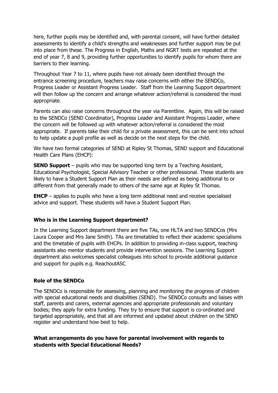here, further pupils may be identified and, with parental consent, will have further detailed assessments to identify a child's strengths and weaknesses and further support may be put into place from these. The Progress in English, Maths and NGRT tests are repeated at the end of year 7, 8 and 9, providing further opportunities to identify pupils for whom there are barriers to their learning.

Throughout Year 7 to 11, where pupils have not already been identified through the entrance screening procedure, teachers may raise concerns with either the SENDCo, Progress Leader or Assistant Progress Leader. Staff from the Learning Support department will then follow up the concern and arrange whatever action/referral is considered the most appropriate.

Parents can also raise concerns throughout the year via Parentline. Again, this will be raised to the SENDCo (SEND Coordinator), Progress Leader and Assistant Progress Leader, where the concern will be followed up with whatever action/referral is considered the most appropriate. If parents take their child for a private assessment, this can be sent into school to help update a pupil profile as well as decide on the next steps for the child.

We have two formal categories of SEND at Ripley St Thomas, SEND support and Educational Health Care Plans (EHCP):

**SEND Support** – pupils who may be supported long term by a Teaching Assistant, Educational Psychologist, Special Advisory Teacher or other professional. These students are likely to have a Student Support Plan as their needs are defined as being additional to or different from that generally made to others of the same age at Ripley St Thomas.

**EHCP** – applies to pupils who have a long term additional need and receive specialised advice and support. These students will have a Student Support Plan.

#### **Who is in the Learning Support department?**

In the Learning Support department there are five TAs, one HLTA and two SENDCos (Mrs Laura Cooper and Mrs Jane Smith). TAs are timetabled to reflect their academic specialisms and the timetable of pupils with EHCPs. In addition to providing in-class support, teaching assistants also mentor students and provide intervention sessions. The Learning Support department also welcomes specialist colleagues into school to provide additional guidance and support for pupils e.g. ReachoutASC

#### **Role of the SENDCo**

The SENDCo is responsible for assessing, planning and monitoring the progress of children with special educational needs and disabilities (SEND). The SENDCo consults and liaises with staff, parents and carers, external agencies and appropriate professionals and voluntary bodies; they apply for extra funding. They try to ensure that support is co-ordinated and targeted appropriately, and that all are informed and updated about children on the SEND register and understand how best to help.

# **What arrangements do you have for parental involvement with regards to students with Special Educational Needs?**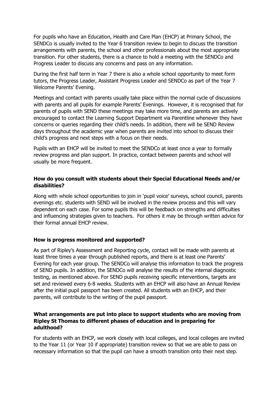For pupils who have an Education, Health and Care Plan (EHCP) at Primary School, the SENDCo is usually invited to the Year 6 transition review to begin to discuss the transition arrangements with parents, the school and other professionals about the most appropriate transition. For other students, there is a chance to hold a meeting with the SENDCo and Progress Leader to discuss any concerns and pass on any information.

During the first half term in Year 7 there is also a whole school opportunity to meet form tutors, the Progress Leader, Assistant Progress Leader and SENDCo as part of the Year 7 Welcome Parents' Evening.

Meetings and contact with parents usually take place within the normal cycle of discussions with parents and all pupils for example Parents' Evenings. However, it is recognised that for parents of pupils with SEND these meetings may take more time, and parents are actively encouraged to contact the Learning Support Department via Parentline whenever they have concerns or queries regarding their child's needs. In addition, there will be SEND Review days throughout the academic year when parents are invited into school to discuss their child's progress and next steps with a focus on their needs.

Pupils with an EHCP will be invited to meet the SENDCo at least once a year to formally review progress and plan support. In practice, contact between parents and school will usually be more frequent.

# **How do you consult with students about their Special Educational Needs and/or disabilities?**

Along with whole school opportunities to join in 'pupil voice' surveys, school council, parents evenings etc. students with SEND will be involved in the review process and this will vary dependent on each case. For some pupils this will be feedback on strengths and difficulties and influencing strategies given to teachers. For others it may be through written advice for their formal annual EHCP review.

# **How is progress monitored and supported?**

As part of Ripley's Assessment and Reporting cycle, contact will be made with parents at least three times a year through published reports, and there is at least one Parents' Evening for each year group. The SENDCo will analyse this information to track the progress of SEND pupils. In addition, the SENDCo will analyse the results of the internal diagnostic testing, as mentioned above. For SEND pupils receiving specific interventions, targets are set and reviewed every 6-8 weeks. Students with an EHCP will also have an Annual Review after the initial pupil passport has been created. All students with an EHCP, and their parents, will contribute to the writing of the pupil passport.

# **What arrangements are put into place to support students who are moving from Ripley St Thomas to different phases of education and in preparing for adulthood?**

For students with an EHCP, we work closely with local colleges, and local colleges are invited to the Year 11 (or Year 10 if appropriate) transition review so that we are able to pass on necessary information so that the pupil can have a smooth transition onto their next step.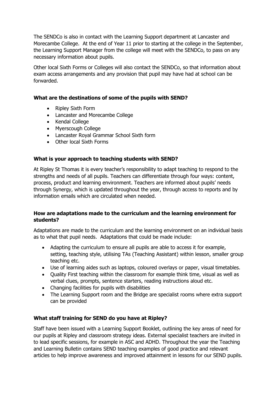The SENDCo is also in contact with the Learning Support department at Lancaster and Morecambe College. At the end of Year 11 prior to starting at the college in the September, the Learning Support Manager from the college will meet with the SENDCo, to pass on any necessary information about pupils.

Other local Sixth Forms or Colleges will also contact the SENDCo, so that information about exam access arrangements and any provision that pupil may have had at school can be forwarded.

# **What are the destinations of some of the pupils with SEND?**

- Ripley Sixth Form
- Lancaster and Morecambe College
- Kendal College
- Myerscough College
- Lancaster Royal Grammar School Sixth form
- Other local Sixth Forms

# **What is your approach to teaching students with SEND?**

At Ripley St Thomas it is every teacher's responsibility to adapt teaching to respond to the strengths and needs of all pupils. Teachers can differentiate through four ways: content, process, product and learning environment. Teachers are informed about pupils' needs through Synergy, which is updated throughout the year, through access to reports and by information emails which are circulated when needed.

# **How are adaptations made to the curriculum and the learning environment for students?**

Adaptations are made to the curriculum and the learning environment on an individual basis as to what that pupil needs. Adaptations that could be made include:

- Adapting the curriculum to ensure all pupils are able to access it for example, setting, teaching style, utilising TAs (Teaching Assistant) within lesson, smaller group teaching etc.
- Use of learning aides such as laptops, coloured overlays or paper, visual timetables.
- Ouality First teaching within the classroom for example think time, visual as well as verbal clues, prompts, sentence starters, reading instructions aloud etc.
- Changing facilities for pupils with disabilities
- The Learning Support room and the Bridge are specialist rooms where extra support can be provided

# **What staff training for SEND do you have at Ripley?**

Staff have been issued with a Learning Support Booklet, outlining the key areas of need for our pupils at Ripley and classroom strategy ideas. External specialist teachers are invited in to lead specific sessions, for example in ASC and ADHD. Throughout the year the Teaching and Learning Bulletin contains SEND teaching examples of good practice and relevant articles to help improve awareness and improved attainment in lessons for our SEND pupils.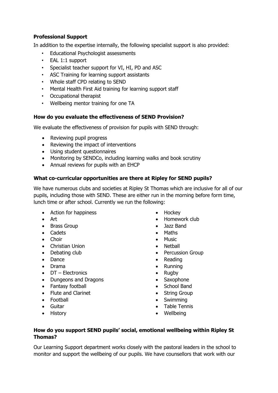# **Professional Support**

In addition to the expertise internally, the following specialist support is also provided:

- Educational Psychologist assessments
- EAL 1:1 support
- Specialist teacher support for VI, HI, PD and ASC
- ASC Training for learning support assistants
- Whole staff CPD relating to SEND
- Mental Health First Aid training for learning support staff
- Occupational therapist
- Wellbeing mentor training for one TA

#### **How do you evaluate the effectiveness of SEND Provision?**

We evaluate the effectiveness of provision for pupils with SEND through:

- Reviewing pupil progress
- Reviewing the impact of interventions
- Using student questionnaires
- Monitoring by SENDCo, including learning walks and book scrutiny
- Annual reviews for pupils with an EHCP

# **What co-curricular opportunities are there at Ripley for SEND pupils?**

We have numerous clubs and societies at Ripley St Thomas which are inclusive for all of our pupils, including those with SEND. These are either run in the morning before form time, lunch time or after school. Currently we run the following:

- Action for happiness
- Art
- Brass Group
- Cadets
- Choir
- Christian Union
- Debating club
- Dance
- Drama
- DT Electronics
- Dungeons and Dragons
- Fantasy football
- Flute and Clarinet
- Football
- Guitar
- History
- Hockey
- Homework club
- Jazz Band
- Maths
- **•** Music
- Netball
- Percussion Group
- Reading
- Running
- $\bullet$  Rugby
- Saxophone
- School Band
- String Group
- Swimming
- Table Tennis
- Wellbeing

#### **How do you support SEND pupils' social, emotional wellbeing within Ripley St Thomas?**

Our Learning Support department works closely with the pastoral leaders in the school to monitor and support the wellbeing of our pupils. We have counsellors that work with our